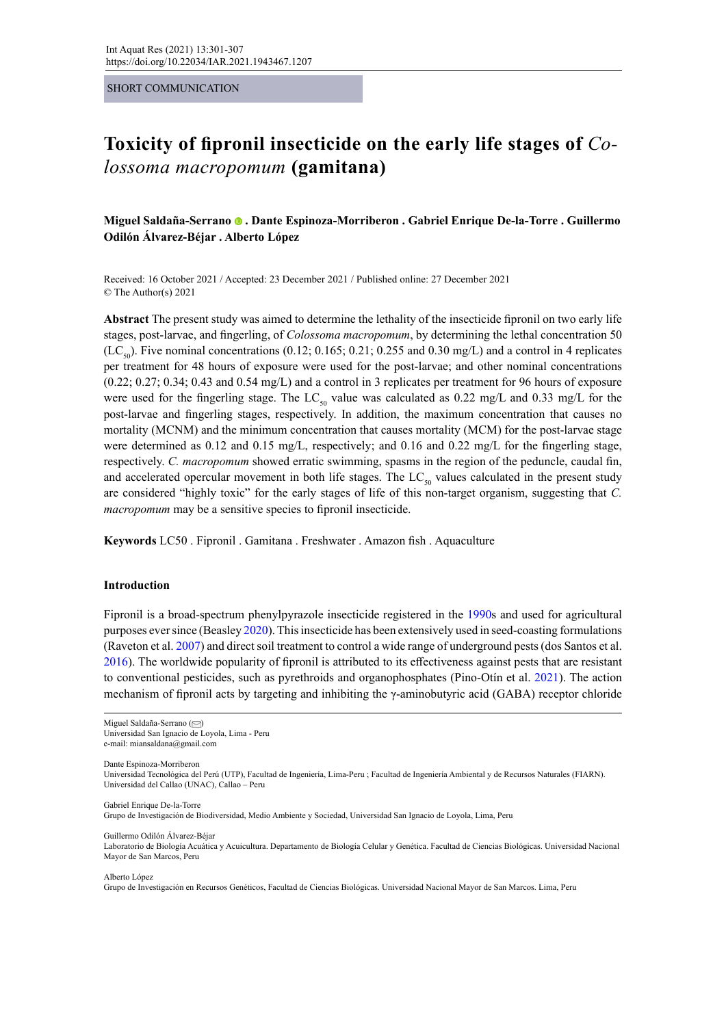#### SHORT COMMUNICATION

# **Toxicity of fipronil insecticide on the early life stages of** *Colossoma macropomum* **(gamitana)**

**Miguel Saldaña-Serrano. Dante Espinoza-Morriberon . Gabriel Enrique De-la-Torre . Guillermo Odilón Álvarez-Béjar . Alberto López** 

Received: 16 October 2021 / Accepted: 23 December 2021 / Published online: 27 December 2021 © The Author(s) 2021

**Abstract** The present study was aimed to determine the lethality of the insecticide fipronil on two early life stages, post-larvae, and fingerling, of *Colossoma macropomum*, by determining the lethal concentration 50  $(LC_{50})$ . Five nominal concentrations (0.12; 0.165; 0.21; 0.255 and 0.30 mg/L) and a control in 4 replicates per treatment for 48 hours of exposure were used for the post-larvae; and other nominal concentrations (0.22; 0.27; 0.34; 0.43 and 0.54 mg/L) and a control in 3 replicates per treatment for 96 hours of exposure were used for the fingerling stage. The LC<sub>50</sub> value was calculated as 0.22 mg/L and 0.33 mg/L for the post-larvae and fingerling stages, respectively. In addition, the maximum concentration that causes no mortality (MCNM) and the minimum concentration that causes mortality (MCM) for the post-larvae stage were determined as 0.12 and 0.15 mg/L, respectively; and 0.16 and 0.22 mg/L for the fingerling stage, respectively. *C. macropomum* showed erratic swimming, spasms in the region of the peduncle, caudal fin, and accelerated opercular movement in both life stages. The  $LC_{50}$  values calculated in the present study are considered "highly toxic" for the early stages of life of this non-target organism, suggesting that *C. macropomum* may be a sensitive species to fipronil insecticide.

**Keywords** LC50 . Fipronil . Gamitana . Freshwater . Amazon fish . Aquaculture

## **Introduction**

Fipronil is a broad-spectrum phenylpyrazole insecticide registered in the 1990s and used for agricultural purposes ever since (Beasley 2020). This insecticide has been extensively used in seed-coasting formulations (Raveton et al. 2007) and direct soil treatment to control a wide range of underground pests (dos Santos et al. 2016). The worldwide popularity of fipronil is attributed to its effectiveness against pests that are resistant to conventional pesticides, such as pyrethroids and organophosphates (Pino-Otín et al. 2021). The action mechanism of fipronil acts by targeting and inhibiting the γ-aminobutyric acid (GABA) receptor chloride

Miguel Saldaña-Serrano [\(](mailto:miansaldana%40gmail.com?subject=) $\heartsuit$ )

Universidad San Ignacio de Loyola, Lima - Peru

e-mail: miansaldana@gmail.com

Dante Espinoza-Morriberon

Universidad Tecnológica del Perú (UTP), Facultad de Ingeniería, Lima-Peru ; Facultad de Ingeniería Ambiental y de Recursos Naturales (FIARN). Universidad del Callao (UNAC), Callao – Peru

Gabriel Enrique De-la-Torre

Grupo de Investigación de Biodiversidad, Medio Ambiente y Sociedad, Universidad San Ignacio de Loyola, Lima, Peru

Guillermo Odilón Álvarez-Béjar

Laboratorio de Biología Acuática y Acuicultura. Departamento de Biología Celular y Genética. Facultad de Ciencias Biológicas. Universidad Nacional Mayor de San Marcos, Peru

Alberto López

Grupo de Investigación en Recursos Genéticos, Facultad de Ciencias Biológicas. Universidad Nacional Mayor de San Marcos. Lima, Peru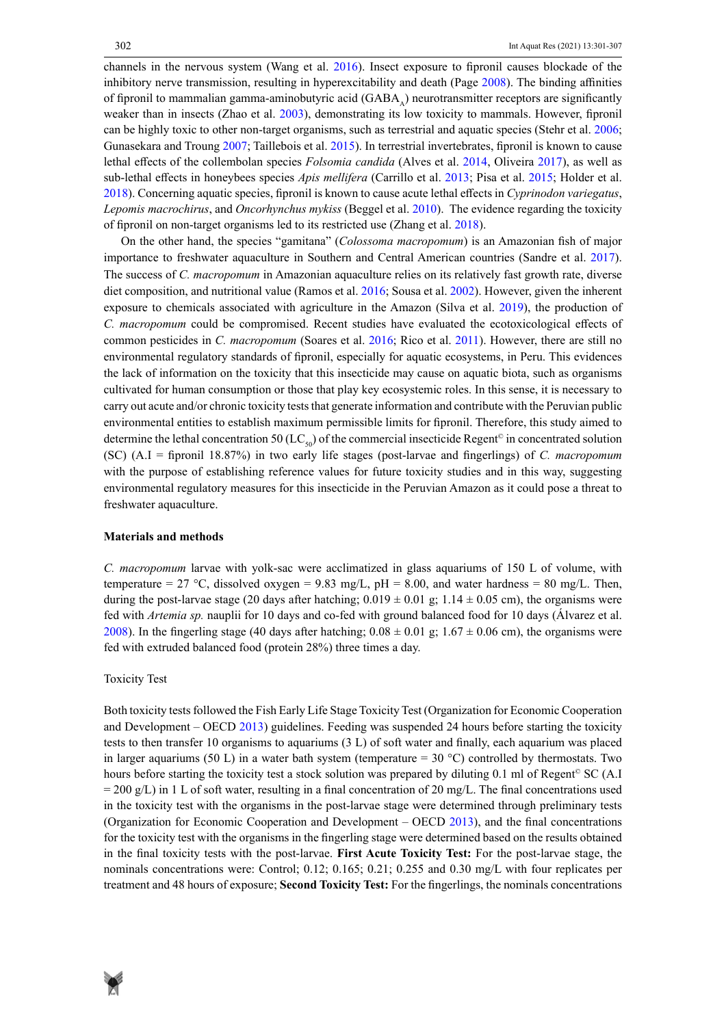channels in the nervous system (Wang et al. 2016). Insect exposure to fipronil causes blockade of the inhibitory nerve transmission, resulting in hyperexcitability and death (Page 2008). The binding affinities of fipronil to mammalian gamma-aminobutyric acid (GABA) neurotransmitter receptors are significantly weaker than in insects (Zhao et al. 2003), demonstrating its low toxicity to mammals. However, fipronil can be highly toxic to other non-target organisms, such as terrestrial and aquatic species (Stehr et al. 2006; Gunasekara and Troung 2007; Taillebois et al. 2015). In terrestrial invertebrates, fipronil is known to cause lethal effects of the collembolan species *Folsomia candida* (Alves et al. 2014, Oliveira 2017), as well as sub-lethal effects in honeybees species *Apis mellifera* (Carrillo et al. 2013; Pisa et al. 2015; Holder et al. 2018). Concerning aquatic species, fipronil is known to cause acute lethal effects in *Cyprinodon variegatus*, *Lepomis macrochirus*, and *Oncorhynchus mykiss* (Beggel et al. 2010). The evidence regarding the toxicity of fipronil on non-target organisms led to its restricted use (Zhang et al. 2018).

On the other hand, the species "gamitana" (*Colossoma macropomum*) is an Amazonian fish of major importance to freshwater aquaculture in Southern and Central American countries (Sandre et al. 2017). The success of *C. macropomum* in Amazonian aquaculture relies on its relatively fast growth rate, diverse diet composition, and nutritional value (Ramos et al. 2016; Sousa et al. 2002). However, given the inherent exposure to chemicals associated with agriculture in the Amazon (Silva et al. 2019), the production of *C. macropomum* could be compromised. Recent studies have evaluated the ecotoxicological effects of common pesticides in *C. macropomum* (Soares et al. 2016; Rico et al. 2011). However, there are still no environmental regulatory standards of fipronil, especially for aquatic ecosystems, in Peru. This evidences the lack of information on the toxicity that this insecticide may cause on aquatic biota, such as organisms cultivated for human consumption or those that play key ecosystemic roles. In this sense, it is necessary to carry out acute and/or chronic toxicity tests that generate information and contribute with the Peruvian public environmental entities to establish maximum permissible limits for fipronil. Therefore, this study aimed to determine the lethal concentration 50 (LC<sub>50</sub>) of the commercial insecticide Regent<sup>®</sup> in concentrated solution (SC) (A.I = fipronil 18.87%) in two early life stages (post-larvae and fingerlings) of *C. macropomum* with the purpose of establishing reference values for future toxicity studies and in this way, suggesting environmental regulatory measures for this insecticide in the Peruvian Amazon as it could pose a threat to freshwater aquaculture.

# **Materials and methods**

*C. macropomum* larvae with yolk-sac were acclimatized in glass aquariums of 150 L of volume, with temperature = 27 °C, dissolved oxygen = 9.83 mg/L, pH = 8.00, and water hardness = 80 mg/L. Then, during the post-larvae stage (20 days after hatching;  $0.019 \pm 0.01$  g;  $1.14 \pm 0.05$  cm), the organisms were fed with *Artemia sp.* nauplii for 10 days and co-fed with ground balanced food for 10 days (Álvarez et al. 2008). In the fingerling stage (40 days after hatching;  $0.08 \pm 0.01$  g;  $1.67 \pm 0.06$  cm), the organisms were fed with extruded balanced food (protein 28%) three times a day.

#### Toxicity Test

Both toxicity tests followed the Fish Early Life Stage Toxicity Test (Organization for Economic Cooperation and Development – OECD 2013) guidelines. Feeding was suspended 24 hours before starting the toxicity tests to then transfer 10 organisms to aquariums (3 L) of soft water and finally, each aquarium was placed in larger aquariums (50 L) in a water bath system (temperature =  $30^{\circ}$ C) controlled by thermostats. Two hours before starting the toxicity test a stock solution was prepared by diluting 0.1 ml of Regent<sup>®</sup> SC (A.I  $= 200 \text{ g/L}$ ) in 1 L of soft water, resulting in a final concentration of 20 mg/L. The final concentrations used in the toxicity test with the organisms in the post-larvae stage were determined through preliminary tests (Organization for Economic Cooperation and Development – OECD 2013), and the final concentrations for the toxicity test with the organisms in the fingerling stage were determined based on the results obtained in the final toxicity tests with the post-larvae. **First Acute Toxicity Test:** For the post-larvae stage, the nominals concentrations were: Control; 0.12; 0.165; 0.21; 0.255 and 0.30 mg/L with four replicates per treatment and 48 hours of exposure; **Second Toxicity Test:** For the fingerlings, the nominals concentrations

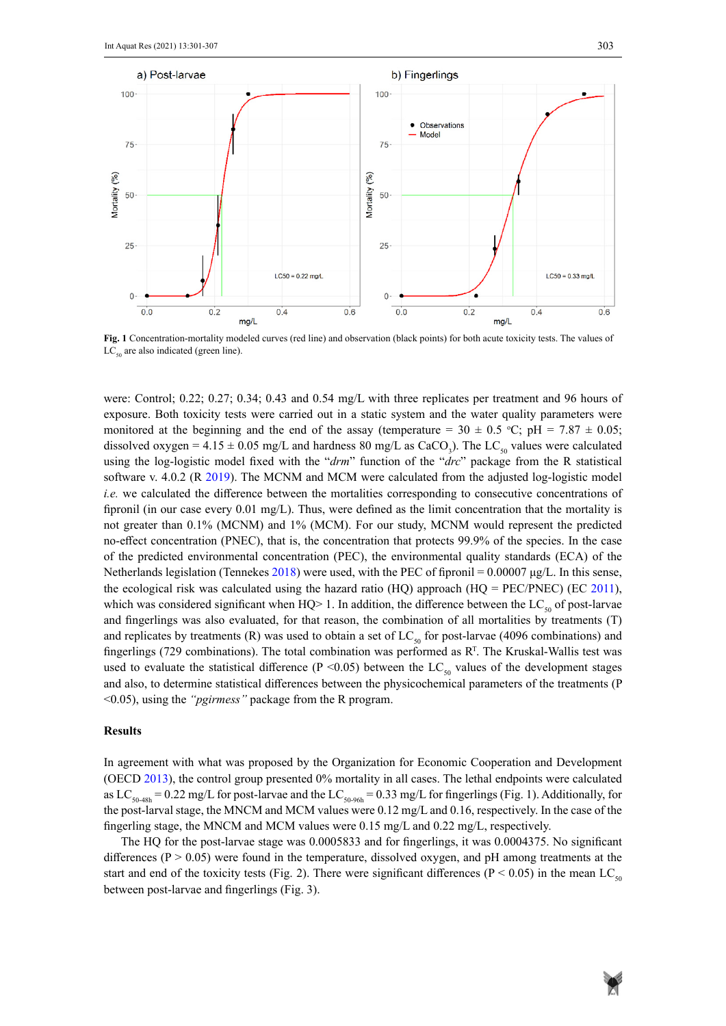

Fig. 1 Concentration-mortality modeled curves (red line) and observation (black points) for both acute toxicity tests. The values of  $LC_{50}$  are also indicated (green line).

were: Control; 0.22; 0.27; 0.34; 0.43 and 0.54 mg/L with three replicates per treatment and 96 hours of exposure. Both toxicity tests were carried out in a static system and the water quality parameters were monitored at the beginning and the end of the assay (temperature =  $30 \pm 0.5$  °C; pH =  $7.87 \pm 0.05$ ; dissolved oxygen =  $4.15 \pm 0.05$  mg/L and hardness 80 mg/L as CaCO<sub>3</sub>). The LC<sub>50</sub> values were calculated using the log-logistic model fixed with the "*drm*" function of the "*drc*" package from the R statistical software v. 4.0.2 (R 2019). The MCNM and MCM were calculated from the adjusted log-logistic model *i.e.* we calculated the difference between the mortalities corresponding to consecutive concentrations of fipronil (in our case every 0.01 mg/L). Thus, were defined as the limit concentration that the mortality is not greater than 0.1% (MCNM) and 1% (MCM). For our study, MCNM would represent the predicted no-effect concentration (PNEC), that is, the concentration that protects 99.9% of the species. In the case of the predicted environmental concentration (PEC), the environmental quality standards (ECA) of the Netherlands legislation (Tennekes 2018) were used, with the PEC of fipronil = 0.00007  $\mu$ g/L. In this sense, the ecological risk was calculated using the hazard ratio (HQ) approach (HQ = PEC/PNEC) (EC 2011), which was considered significant when HQ $> 1$ . In addition, the difference between the LC<sub>50</sub> of post-larvae and fingerlings was also evaluated, for that reason, the combination of all mortalities by treatments (T) and replicates by treatments (R) was used to obtain a set of  $LC_{50}$  for post-larvae (4096 combinations) and fingerlings (729 combinations). The total combination was performed as  $R<sup>T</sup>$ . The Kruskal-Wallis test was used to evaluate the statistical difference (P <0.05) between the LC<sub>50</sub> values of the development stages and also, to determine statistical differences between the physicochemical parameters of the treatments (P <0.05), using the *"pgirmess"* package from the R program.

#### **Results**

In agreement with what was proposed by the Organization for Economic Cooperation and Development (OECD 2013), the control group presented 0% mortality in all cases. The lethal endpoints were calculated as LC<sub>50-48h</sub> = 0.22 mg/L for post-larvae and the LC<sub>50-96h</sub> = 0.33 mg/L for fingerlings (Fig. 1). Additionally, for the post-larval stage, the MNCM and MCM values were 0.12 mg/L and 0.16, respectively. In the case of the fingerling stage, the MNCM and MCM values were 0.15 mg/L and 0.22 mg/L, respectively.

The HQ for the post-larvae stage was 0.0005833 and for fingerlings, it was 0.0004375. No significant differences ( $P > 0.05$ ) were found in the temperature, dissolved oxygen, and pH among treatments at the start and end of the toxicity tests (Fig. 2). There were significant differences (P < 0.05) in the mean LC<sub>50</sub> between post-larvae and fingerlings (Fig. 3).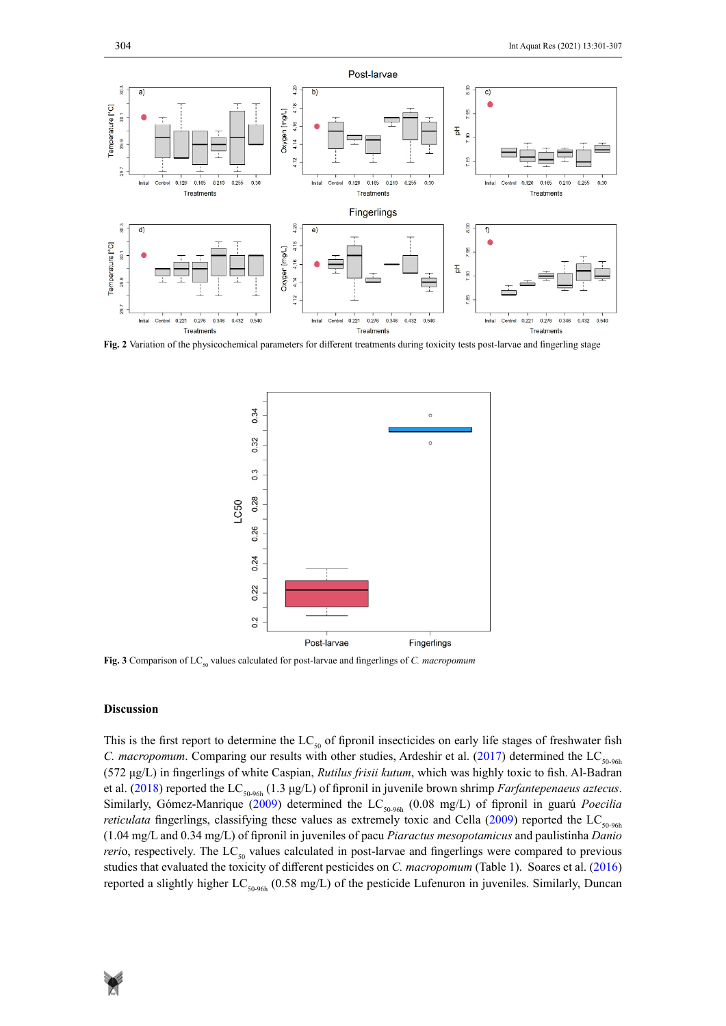

**Fig. 2** Variation of the physicochemical parameters for different treatments during toxicity tests post-larvae and fingerling stage



Fig. 3 Comparison of LC<sub>50</sub> values calculated for post-larvae and fingerlings of *C. macropomum* 

## **Discussion**

This is the first report to determine the  $LC_{50}$  of fipronil insecticides on early life stages of freshwater fish *C. macropomum.* Comparing our results with other studies, Ardeshir et al. (2017) determined the LC<sub>50-96h</sub> (572 μg/L) in fingerlings of white Caspian, *Rutilus frisii kutum*, which was highly toxic to fish. Al-Badran et al. (2018) reported the LC<sub>50-96h</sub> (1.3 μg/L) of fipronil in juvenile brown shrimp *Farfantepenaeus aztecus*. Similarly, Gómez-Manrique (2009) determined the LC<sub>50-96h</sub> (0.08 mg/L) of fipronil in guarú *Poecilia reticulata* fingerlings, classifying these values as extremely toxic and Cella (2009) reported the LC<sub>50-96b</sub> (1.04 mg/L and 0.34 mg/L) of fipronil in juveniles of pacu *Piaractus mesopotamicus* and paulistinha *Danio reri*o, respectively. The LC<sub>50</sub> values calculated in post-larvae and fingerlings were compared to previous studies that evaluated the toxicity of different pesticides on *C. macropomum* (Table 1). Soares et al. (2016) reported a slightly higher  $LC_{50-96h}$  (0.58 mg/L) of the pesticide Lufenuron in juveniles. Similarly, Duncan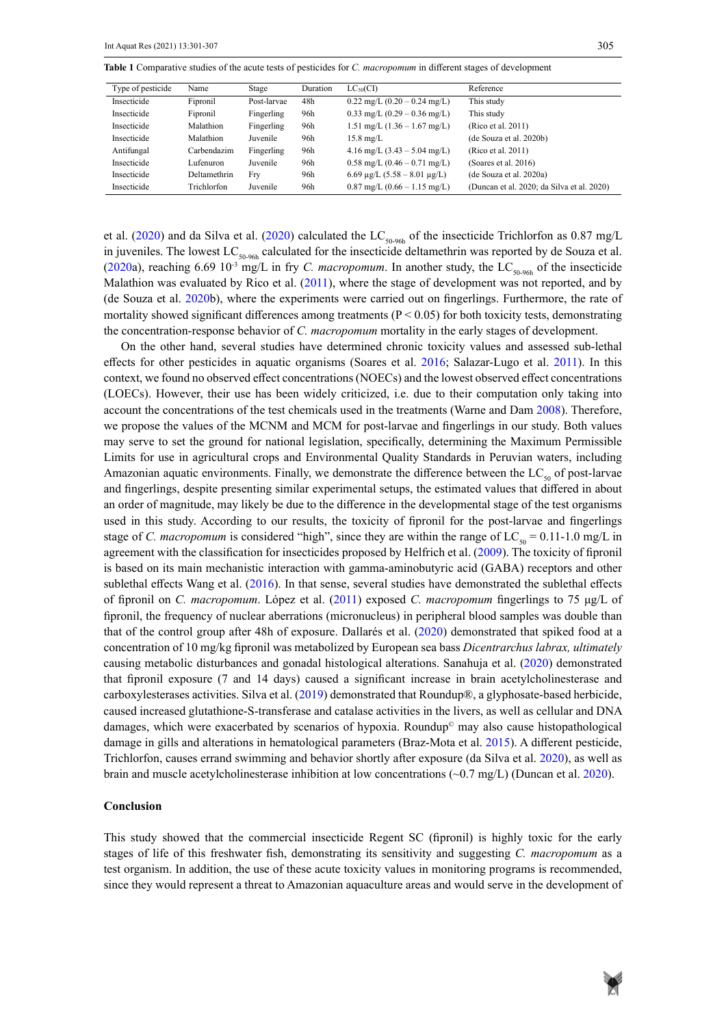Table 1 Comparative studies of the acute tests of pesticides for *C. macropomum* in different stages of development

| Type of pesticide | Name         | Stage       | Duration | $LC_{50}(CI)$                                    | Reference                                  |
|-------------------|--------------|-------------|----------|--------------------------------------------------|--------------------------------------------|
| Insecticide       | Fipronil     | Post-larvae | 48h      | $0.22 \text{ mg/L} (0.20 - 0.24 \text{ mg/L})$   | This study                                 |
| Insecticide       | Fipronil     | Fingerling  | 96h      | $0.33 \text{ mg/L}$ (0.29 – 0.36 mg/L)           | This study                                 |
| Insecticide       | Malathion    | Fingerling  | 96h      | $1.51 \text{ mg/L}$ $(1.36 - 1.67 \text{ mg/L})$ | (Rico et al. 2011)                         |
| Insecticide       | Malathion    | Juvenile    | 96h      | $15.8 \text{ mg/L}$                              | (de Souza et al. 2020b)                    |
| Antifungal        | Carbendazim  | Fingerling  | 96h      | $4.16 \text{ mg/L}$ (3.43 – 5.04 mg/L)           | (Rico et al. 2011)                         |
| Insecticide       | Lufenuron.   | Juvenile    | 96h      | $0.58 \text{ mg/L} (0.46 - 0.71 \text{ mg/L})$   | (Soares et al. $2016$ )                    |
| Insecticide       | Deltamethrin | Frv         | 96h      | 6.69 $\mu$ g/L (5.58 – 8.01 $\mu$ g/L)           | (de Souza et al. 2020a)                    |
| Insecticide       | Trichlorfon  | Juvenile    | 96h      | $0.87 \text{ mg/L}$ (0.66 – 1.15 mg/L)           | (Duncan et al. 2020; da Silva et al. 2020) |

et al. (2020) and da Silva et al. (2020) calculated the LC<sub>50-96h</sub> of the insecticide Trichlorfon as 0.87 mg/L in juveniles. The lowest  $LC_{50-96h}$  calculated for the insecticide deltamethrin was reported by de Souza et al. (2020a), reaching 6.69 10<sup>-3</sup> mg/L in fry *C. macropomum*. In another study, the LC<sub>50-96h</sub> of the insecticide Malathion was evaluated by Rico et al. (2011), where the stage of development was not reported, and by (de Souza et al. 2020b), where the experiments were carried out on fingerlings. Furthermore, the rate of mortality showed significant differences among treatments ( $P < 0.05$ ) for both toxicity tests, demonstrating the concentration-response behavior of *C. macropomum* mortality in the early stages of development.

On the other hand, several studies have determined chronic toxicity values and assessed sub-lethal effects for other pesticides in aquatic organisms (Soares et al. 2016; Salazar-Lugo et al. 2011). In this context, we found no observed effect concentrations (NOECs) and the lowest observed effect concentrations (LOECs). However, their use has been widely criticized, i.e. due to their computation only taking into account the concentrations of the test chemicals used in the treatments (Warne and Dam 2008). Therefore, we propose the values of the MCNM and MCM for post-larvae and fingerlings in our study. Both values may serve to set the ground for national legislation, specifically, determining the Maximum Permissible Limits for use in agricultural crops and Environmental Quality Standards in Peruvian waters, including Amazonian aquatic environments. Finally, we demonstrate the difference between the  $LC_{50}$  of post-larvae and fingerlings, despite presenting similar experimental setups, the estimated values that differed in about an order of magnitude, may likely be due to the difference in the developmental stage of the test organisms used in this study. According to our results, the toxicity of fipronil for the post-larvae and fingerlings stage of *C. macropomum* is considered "high", since they are within the range of  $LC_{50} = 0.11$ -1.0 mg/L in agreement with the classification for insecticides proposed by Helfrich et al. (2009). The toxicity of fipronil is based on its main mechanistic interaction with gamma-aminobutyric acid (GABA) receptors and other sublethal effects Wang et al. (2016). In that sense, several studies have demonstrated the sublethal effects of fipronil on *C. macropomum*. López et al. (2011) exposed *C. macropomum* fingerlings to 75 μg/L of fipronil, the frequency of nuclear aberrations (micronucleus) in peripheral blood samples was double than that of the control group after 48h of exposure. Dallarés et al. (2020) demonstrated that spiked food at a concentration of 10 mg/kg fipronil was metabolized by European sea bass *Dicentrarchus labrax, ultimately* causing metabolic disturbances and gonadal histological alterations. Sanahuja et al. (2020) demonstrated that fipronil exposure (7 and 14 days) caused a significant increase in brain acetylcholinesterase and carboxylesterases activities. Silva et al. (2019) demonstrated that Roundup®, a glyphosate-based herbicide, caused increased glutathione-S-transferase and catalase activities in the livers, as well as cellular and DNA damages, which were exacerbated by scenarios of hypoxia. Roundup© may also cause histopathological damage in gills and alterations in hematological parameters (Braz-Mota et al. 2015). A different pesticide, Trichlorfon, causes errand swimming and behavior shortly after exposure (da Silva et al. 2020), as well as brain and muscle acetylcholinesterase inhibition at low concentrations  $(\sim 0.7 \text{ mg/L})$  (Duncan et al. 2020).

# **Conclusion**

This study showed that the commercial insecticide Regent SC (fipronil) is highly toxic for the early stages of life of this freshwater fish, demonstrating its sensitivity and suggesting *C. macropomum* as a test organism. In addition, the use of these acute toxicity values in monitoring programs is recommended, since they would represent a threat to Amazonian aquaculture areas and would serve in the development of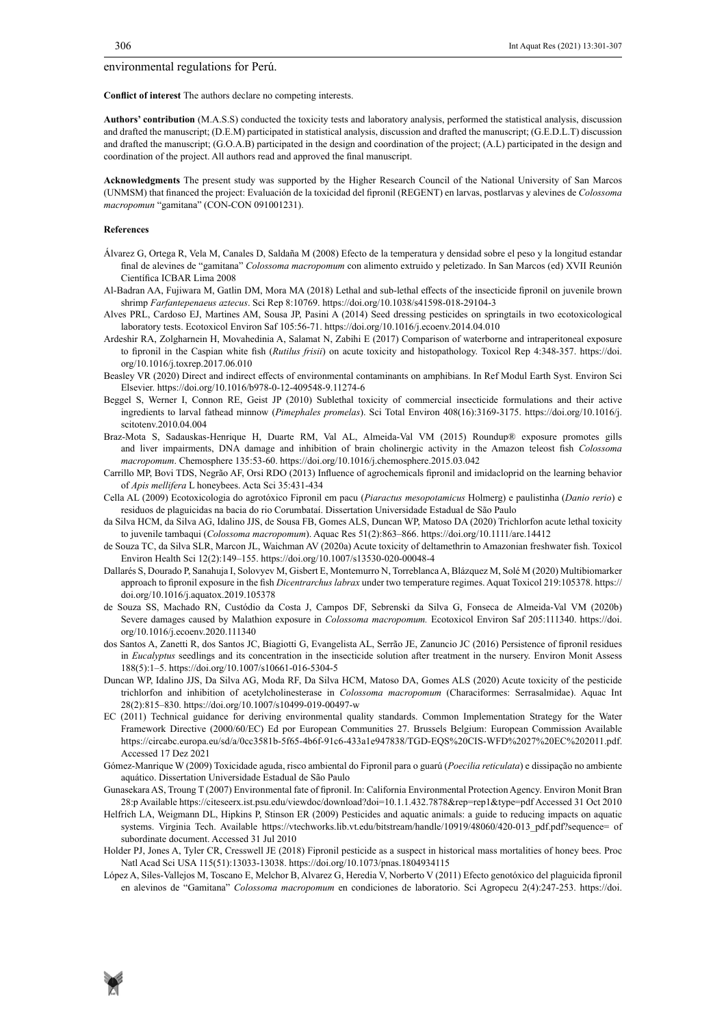environmental regulations for Perú.

**Conflict of interest** The authors declare no competing interests.

**Authors' contribution** (M.A.S.S) conducted the toxicity tests and laboratory analysis, performed the statistical analysis, discussion and drafted the manuscript; (D.E.M) participated in statistical analysis, discussion and drafted the manuscript; (G.E.D.L.T) discussion and drafted the manuscript; (G.O.A.B) participated in the design and coordination of the project; (A.L) participated in the design and coordination of the project. All authors read and approved the final manuscript.

**Acknowledgments** The present study was supported by the Higher Research Council of the National University of San Marcos (UNMSM) that financed the project: Evaluación de la toxicidad del fipronil (REGENT) en larvas, postlarvas y alevines de *Colossoma macropomun* "gamitana" (CON-CON 091001231).

#### **References**

- Álvarez G, Ortega R, Vela M, Canales D, Saldaña M (2008) Efecto de la temperatura y densidad sobre el peso y la longitud estandar final de alevines de "gamitana" *Colossoma macropomum* con alimento extruido y peletizado. In San Marcos (ed) XVII Reunión Científica ICBAR Lima 2008
- Al-Badran AA, Fujiwara M, Gatlin DM, Mora MA (2018) Lethal and sub-lethal effects of the insecticide fipronil on juvenile brown shrimp *Farfantepenaeus aztecus*. Sci Rep 8:10769. https://doi.org/10.1038/s41598-018-29104-3
- Alves PRL, Cardoso EJ, Martines AM, Sousa JP, Pasini A (2014) Seed dressing pesticides on springtails in two ecotoxicological laboratory tests. Ecotoxicol Environ Saf 105:56-71.<https://doi.org/10.1016/j.ecoenv.2014.04.010>
- Ardeshir RA, Zolgharnein H, Movahedinia A, Salamat N, Zabihi E (2017) Comparison of waterborne and intraperitoneal exposure to fipronil in the Caspian white fish (*Rutilus frisii*) on acute toxicity and histopathology. Toxicol Rep 4:348-357. [https://doi.](https://doi.org/10.1016/j.toxrep.2017.06.010) [org/10.1016/j.toxrep.2017.06.010](https://doi.org/10.1016/j.toxrep.2017.06.010)
- Beasley VR (2020) Direct and indirect effects of environmental contaminants on amphibians. In Ref Modul Earth Syst. Environ Sci Elsevier. https://doi.org/10.1016/b978-0-12-409548-9.11274-6
- Beggel S, Werner I, Connon RE, Geist JP (2010) Sublethal toxicity of commercial insecticide formulations and their active ingredients to larval fathead minnow (*Pimephales promelas*). Sci Total Environ 408(16):3169-3175. https://doi.org/10.1016/j. scitotenv.2010.04.004
- Braz-Mota S, Sadauskas-Henrique H, Duarte RM, Val AL, Almeida-Val VM (2015) Roundup® exposure promotes gills and liver impairments, DNA damage and inhibition of brain cholinergic activity in the Amazon teleost fish *Colossoma macropomum*. Chemosphere 135:53-60. https://doi.org/10.1016/j.chemosphere.2015.03.042
- Carrillo MP, Bovi TDS, Negrão AF, Orsi RDO (2013) Influence of agrochemicals fipronil and imidacloprid on the learning behavior of *Apis mellifera* L honeybees. Acta Sci 35:431-434
- Cella AL (2009) Ecotoxicologia do agrotóxico Fipronil em pacu (*Piaractus mesopotamicus* Holmerg) e paulistinha (*Danio rerio*) e residuos de plaguicidas na bacia do rio Corumbataí. Dissertation Universidade Estadual de São Paulo
- da Silva HCM, da Silva AG, Idalino JJS, de Sousa FB, Gomes ALS, Duncan WP, Matoso DA (2020) Trichlorfon acute lethal toxicity to juvenile tambaqui (*Colossoma macropomum*). Aquac Res 51(2):863–866. https://doi.org/10.1111/are.14412
- de Souza TC, da Silva SLR, Marcon JL, Waichman AV (2020a) Acute toxicity of deltamethrin to Amazonian freshwater fish. Toxicol Environ Health Sci 12(2):149–155.<https://doi.org/10.1007/s13530-020-00048-4>
- Dallarés S, Dourado P, Sanahuja I, Solovyev M, Gisbert E, Montemurro N, Torreblanca A, Blázquez M, Solé M (2020) Multibiomarker approach to fipronil exposure in the fish *Dicentrarchus labrax* under two temperature regimes. Aquat Toxicol 219:105378. [https://](https://doi.org/10.1016/j.aquatox.2019.105378) [doi.org/10.1016/j.aquatox.2019.105378](https://doi.org/10.1016/j.aquatox.2019.105378)
- de Souza SS, Machado RN, Custódio da Costa J, Campos DF, Sebrenski da Silva G, Fonseca de Almeida-Val VM (2020b) Severe damages caused by Malathion exposure in *Colossoma macropomum.* Ecotoxicol Environ Saf 205:111340. https://doi. org/10.1016/j.ecoenv.2020.111340
- dos Santos A, Zanetti R, dos Santos JC, Biagiotti G, Evangelista AL, Serrão JE, Zanuncio JC (2016) Persistence of fipronil residues in *Eucalyptus* seedlings and its concentration in the insecticide solution after treatment in the nursery. Environ Monit Assess 188(5):1–5. https://doi.org/10.1007/s10661-016-5304-5
- Duncan WP, Idalino JJS, Da Silva AG, Moda RF, Da Silva HCM, Matoso DA, Gomes ALS (2020) Acute toxicity of the pesticide trichlorfon and inhibition of acetylcholinesterase in *Colossoma macropomum* (Characiformes: Serrasalmidae). Aquac Int 28(2):815–830. <https://doi.org/10.1007/s10499-019-00497-w>
- EC (2011) Technical guidance for deriving environmental quality standards. Common Implementation Strategy for the Water Framework Directive (2000/60/EC) Ed por European Communities 27. Brussels Belgium: European Commission Available [https://circabc.europa.eu/sd/a/0cc3581b-5f65-4b6f-91c6-433a1e947838/TGD-EQS%20CIS-WFD%2027%20EC%202011.pdf](https://circabc.europa.eu/sd/a/0cc3581b-5f65-4b6f-91c6-433a1e947838/TGD-EQS CIS-WFD 27 EC 2011.pdf). Accessed 17 Dez 2021
- Gómez-Manrique W (2009) Toxicidade aguda, risco ambiental do Fipronil para o guarú (*Poecilia reticulata*) e dissipação no ambiente aquático. Dissertation Universidade Estadual de São Paulo
- Gunasekara AS, Troung T (2007) Environmental fate of fipronil. In: California Environmental Protection Agency. Environ Monit Bran 28:p Available<https://citeseerx.ist.psu.edu/viewdoc/download?doi=10.1.1.432.7878&rep=rep1&type=pdf>Accessed 31 Oct 2010
- Helfrich LA, Weigmann DL, Hipkins P, Stinson ER (2009) Pesticides and aquatic animals: a guide to reducing impacts on aquatic systems. Virginia Tech. Available https://vtechworks.lib.vt.edu/bitstream/handle/10919/48060/420-013 pdf.pdf?sequence= of subordinate document. Accessed 31 Jul 2010
- Holder PJ, Jones A, Tyler CR, Cresswell JE (2018) Fipronil pesticide as a suspect in historical mass mortalities of honey bees. Proc Natl Acad Sci USA 115(51):13033-13038.<https://doi.org/10.1073/pnas.1804934115>
- López A, Siles-Vallejos M, Toscano E, Melchor B, Alvarez G, Heredia V, Norberto V (2011) Efecto genotóxico del plaguicida fipronil en alevinos de "Gamitana" *Colossoma macropomum* en condiciones de laboratorio. Sci Agropecu 2(4):247-253. https://doi.